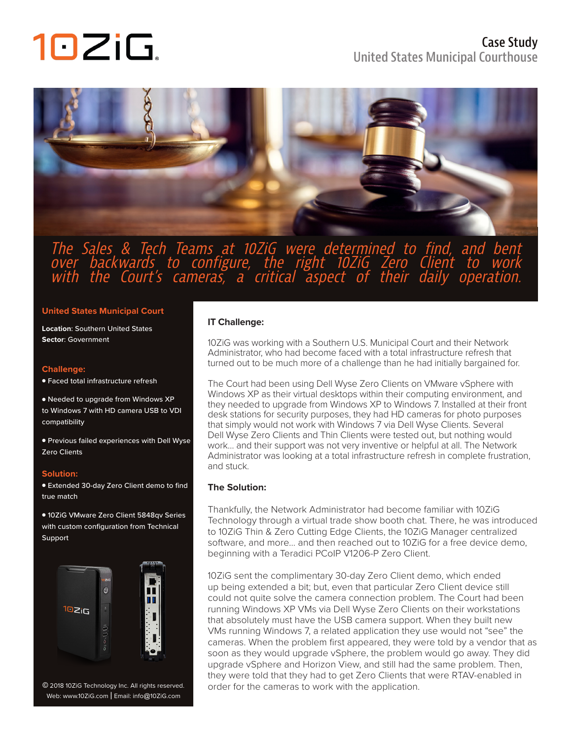# 10ZiG.



### The Sales & Tech Teams at 10ZiG were determined to find, and bent over backwards to configure, the right 10ZiG Zero Client to work with the Court's cameras, a critical aspect of their daily operation.

### **United States Municipal Court**

**Location**: Southern United States **Sector**: Government

### **Challenge:**

● Faced total infrastructure refresh

● Needed to upgrade from Windows XP to Windows 7 with HD camera USB to VDI compatibility

● Previous failed experiences with Dell Wyse Zero Clients

### **Solution:**

● Extended 30-day Zero Client demo to find true match

● 10ZiG VMware Zero Client 5848qv Series with custom configuration from Technical Support



Web: www.10ZiG.com | Email: info@10ZiG.com

### **IT Challenge:**

10ZiG was working with a Southern U.S. Municipal Court and their Network Administrator, who had become faced with a total infrastructure refresh that turned out to be much more of a challenge than he had initially bargained for.

The Court had been using Dell Wyse Zero Clients on VMware vSphere with Windows XP as their virtual desktops within their computing environment, and they needed to upgrade from Windows XP to Windows 7. Installed at their front desk stations for security purposes, they had HD cameras for photo purposes that simply would not work with Windows 7 via Dell Wyse Clients. Several Dell Wyse Zero Clients and Thin Clients were tested out, but nothing would work… and their support was not very inventive or helpful at all. The Network Administrator was looking at a total infrastructure refresh in complete frustration, and stuck.

### **The Solution:**

Thankfully, the Network Administrator had become familiar with 10ZiG Technology through a virtual trade show booth chat. There, he was introduced to 10ZiG Thin & Zero Cutting Edge Clients, the 10ZiG Manager centralized software, and more… and then reached out to 10ZiG for a free device demo, beginning with a Teradici PCoIP V1206-P Zero Client.

10ZiG sent the complimentary 30-day Zero Client demo, which ended up being extended a bit; but, even that particular Zero Client device still could not quite solve the camera connection problem. The Court had been running Windows XP VMs via Dell Wyse Zero Clients on their workstations that absolutely must have the USB camera support. When they built new VMs running Windows 7, a related application they use would not "see" the cameras. When the problem first appeared, they were told by a vendor that as soon as they would upgrade vSphere, the problem would go away. They did upgrade vSphere and Horizon View, and still had the same problem. Then, they were told that they had to get Zero Clients that were RTAV-enabled in © 2018 10ZiG Technology Inc. All rights reserved. order for the cameras to work with the application.